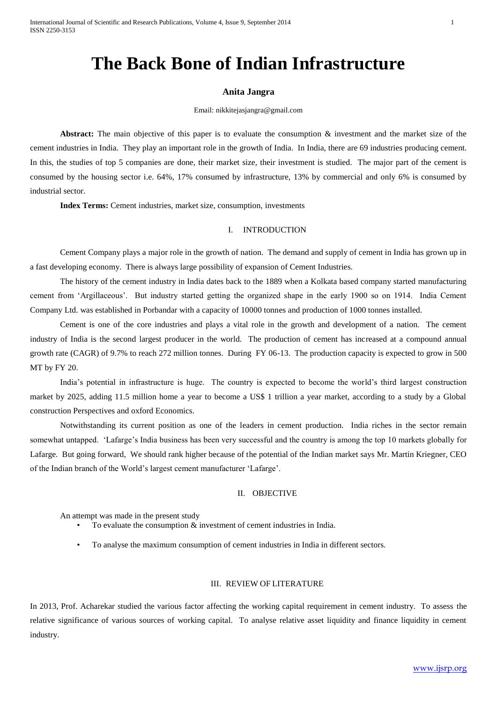# **The Back Bone of Indian Infrastructure**

## **Anita Jangra**

#### Email: nikkitejasjangra@gmail.com

**Abstract:** The main objective of this paper is to evaluate the consumption & investment and the market size of the cement industries in India. They play an important role in the growth of India. In India, there are 69 industries producing cement. In this, the studies of top 5 companies are done, their market size, their investment is studied. The major part of the cement is consumed by the housing sector i.e. 64%, 17% consumed by infrastructure, 13% by commercial and only 6% is consumed by industrial sector.

**Index Terms:** Cement industries, market size, consumption, investments

# I. INTRODUCTION

Cement Company plays a major role in the growth of nation. The demand and supply of cement in India has grown up in a fast developing economy. There is always large possibility of expansion of Cement Industries.

The history of the cement industry in India dates back to the 1889 when a Kolkata based company started manufacturing cement from 'Argillaceous'. But industry started getting the organized shape in the early 1900 so on 1914. India Cement Company Ltd. was established in Porbandar with a capacity of 10000 tonnes and production of 1000 tonnes installed.

Cement is one of the core industries and plays a vital role in the growth and development of a nation. The cement industry of India is the second largest producer in the world. The production of cement has increased at a compound annual growth rate (CAGR) of 9.7% to reach 272 million tonnes. During FY 06-13. The production capacity is expected to grow in 500 MT by FY 20.

India's potential in infrastructure is huge. The country is expected to become the world's third largest construction market by 2025, adding 11.5 million home a year to become a US\$ 1 trillion a year market, according to a study by a Global construction Perspectives and oxford Economics.

Notwithstanding its current position as one of the leaders in cement production. India riches in the sector remain somewhat untapped. 'Lafarge's India business has been very successful and the country is among the top 10 markets globally for Lafarge. But going forward, We should rank higher because of the potential of the Indian market says Mr. Martin Kriegner, CEO of the Indian branch of the World's largest cement manufacturer 'Lafarge'.

## II. OBJECTIVE

An attempt was made in the present study

- To evaluate the consumption  $\&$  investment of cement industries in India.
- To analyse the maximum consumption of cement industries in India in different sectors.

# III. REVIEW OF LITERATURE

In 2013, Prof. Acharekar studied the various factor affecting the working capital requirement in cement industry. To assess the relative significance of various sources of working capital. To analyse relative asset liquidity and finance liquidity in cement industry.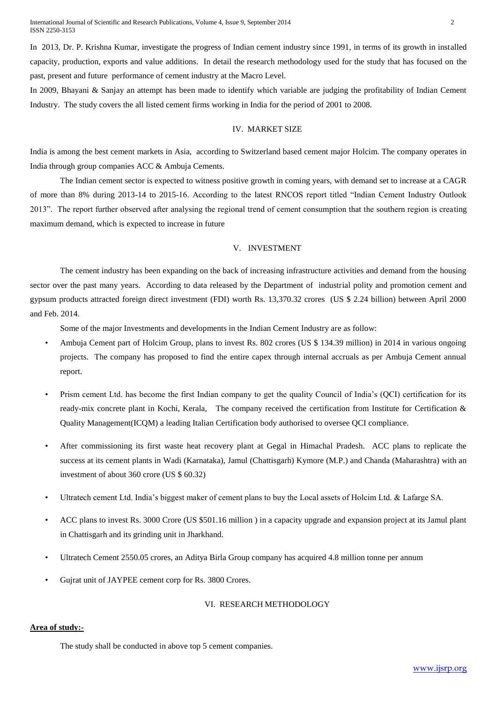In 2013, Dr. P. Krishna Kumar, investigate the progress of Indian cement industry since 1991, in terms of its growth in installed capacity, production, exports and value additions. In detail the research methodology used for the study that has focused on the past, present and future performance of cement industry at the Macro Level.

In 2009, Bhayani & Sanjay an attempt has been made to identify which variable are judging the profitability of Indian Cement Industry. The study covers the all listed cement firms working in India for the period of 2001 to 2008.

## IV. MARKET SIZE

India is among the best cement markets in Asia, according to Switzerland based cement major Holcim. The company operates in India through group companies ACC & Ambuja Cements.

The Indian cement sector is expected to witness positive growth in coming years, with demand set to increase at a CAGR of more than 8% during 2013-14 to 2015-16. According to the latest RNCOS report titled "Indian Cement Industry Outlook 2013". The report further observed after analysing the regional trend of cement consumption that the southern region is creating maximum demand, which is expected to increase in future

#### V. INVESTMENT

The cement industry has been expanding on the back of increasing infrastructure activities and demand from the housing sector over the past many years. According to data released by the Department of industrial polity and promotion cement and gypsum products attracted foreign direct investment (FDI) worth Rs. 13,370.32 crores (US \$ 2.24 billion) between April 2000 and Feb. 2014.

Some of the major Investments and developments in the Indian Cement Industry are as follow:

- Ambuja Cement part of Holcim Group, plans to invest Rs. 802 crores (US \$ 134.39 million) in 2014 in various ongoing projects. The company has proposed to find the entire capex through internal accruals as per Ambuja Cement annual report.
- Prism cement Ltd. has become the first Indian company to get the quality Council of India's (QCI) certification for its ready-mix concrete plant in Kochi, Kerala, The company received the certification from Institute for Certification & Quality Management(ICQM) a leading Italian Certification body authorised to oversee QCI compliance.
- After commissioning its first waste heat recovery plant at Gegal in Himachal Pradesh. ACC plans to replicate the success at its cement plants in Wadi (Karnataka), Jamul (Chattisgarh) Kymore (M.P.) and Chanda (Maharashtra) with an investment of about 360 crore (US \$ 60.32)
- Ultratech cement Ltd. India's biggest maker of cement plans to buy the Local assets of Holcim Ltd. & Lafarge SA.
- ACC plans to invest Rs. 3000 Crore (US \$501.16 million ) in a capacity upgrade and expansion project at its Jamul plant in Chattisgarh and its grinding unit in Jharkhand.
- Ultratech Cement 2550.05 crores, an Aditya Birla Group company has acquired 4.8 million tonne per annum
- Gujrat unit of JAYPEE cement corp for Rs. 3800 Crores.

#### VI. RESEARCH METHODOLOGY

#### **Area of study:-**

The study shall be conducted in above top 5 cement companies.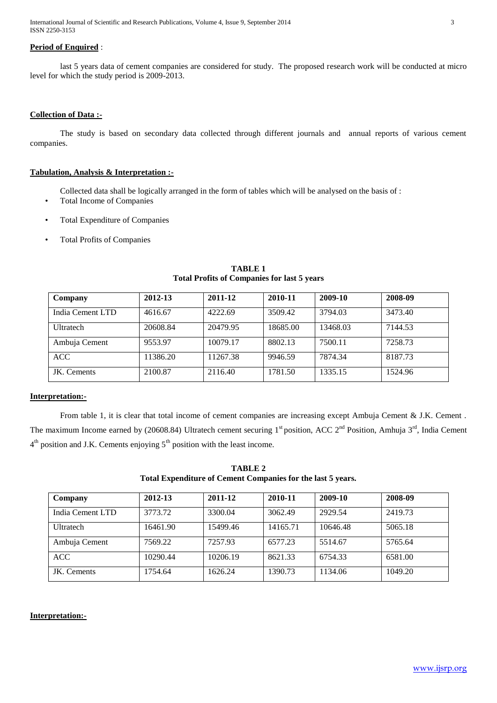International Journal of Scientific and Research Publications, Volume 4, Issue 9, September 2014 3 ISSN 2250-3153

# **Period of Enquired** :

last 5 years data of cement companies are considered for study. The proposed research work will be conducted at micro level for which the study period is 2009-2013.

# **Collection of Data :-**

The study is based on secondary data collected through different journals and annual reports of various cement companies.

# **Tabulation, Analysis & Interpretation :-**

Collected data shall be logically arranged in the form of tables which will be analysed on the basis of :

- Total Income of Companies
- Total Expenditure of Companies
- Total Profits of Companies

| Company          | 2012-13  | 2011-12  | 2010-11  | 2009-10  | 2008-09 |
|------------------|----------|----------|----------|----------|---------|
| India Cement LTD | 4616.67  | 4222.69  | 3509.42  | 3794.03  | 3473.40 |
| Ultratech        | 20608.84 | 20479.95 | 18685.00 | 13468.03 | 7144.53 |
| Ambuja Cement    | 9553.97  | 10079.17 | 8802.13  | 7500.11  | 7258.73 |
| <b>ACC</b>       | 11386.20 | 11267.38 | 9946.59  | 7874.34  | 8187.73 |
| JK. Cements      | 2100.87  | 2116.40  | 1781.50  | 1335.15  | 1524.96 |

# **TABLE 1 Total Profits of Companies for last 5 years**

## **Interpretation:-**

From table 1, it is clear that total income of cement companies are increasing except Ambuja Cement & J.K. Cement. The maximum Income earned by (20608.84) Ultratech cement securing  $1^{st}$  position, ACC  $2^{nd}$  Position, Amhuja  $3^{rd}$ , India Cement  $4<sup>th</sup>$  position and J.K. Cements enjoying  $5<sup>th</sup>$  position with the least income.

**TABLE 2 Total Expenditure of Cement Companies for the last 5 years.**

| Company          | 2012-13  | 2011-12  | 2010-11  | 2009-10  | 2008-09 |
|------------------|----------|----------|----------|----------|---------|
| India Cement LTD | 3773.72  | 3300.04  | 3062.49  | 2929.54  | 2419.73 |
| Ultratech        | 16461.90 | 15499.46 | 14165.71 | 10646.48 | 5065.18 |
| Ambuja Cement    | 7569.22  | 7257.93  | 6577.23  | 5514.67  | 5765.64 |
| ACC.             | 10290.44 | 10206.19 | 8621.33  | 6754.33  | 6581.00 |
| JK. Cements      | 1754.64  | 1626.24  | 1390.73  | 1134.06  | 1049.20 |

# **Interpretation:-**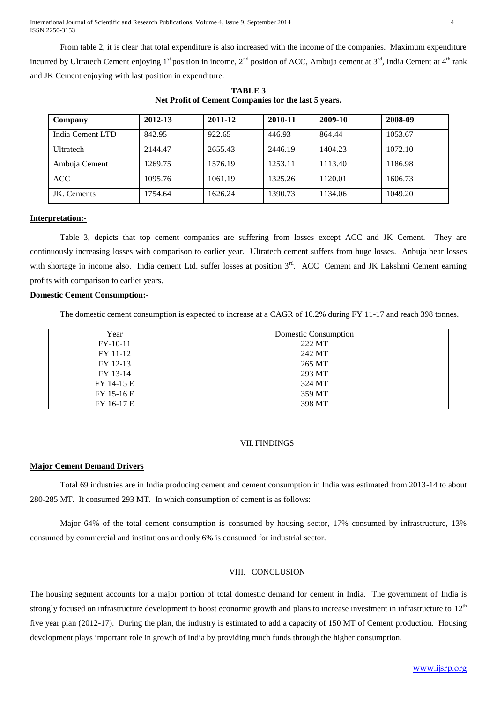International Journal of Scientific and Research Publications, Volume 4, Issue 9, September 2014 4 ISSN 2250-3153

From table 2, it is clear that total expenditure is also increased with the income of the companies. Maximum expenditure incurred by Ultratech Cement enjoying  $1^{st}$  position in income,  $2^{nd}$  position of ACC, Ambuja cement at  $3^{rd}$ , India Cement at  $4^{th}$  rank and JK Cement enjoying with last position in expenditure.

| Company          | 2012-13 | 2011-12 | 2010-11 | 2009-10 | 2008-09 |
|------------------|---------|---------|---------|---------|---------|
| India Cement LTD | 842.95  | 922.65  | 446.93  | 864.44  | 1053.67 |
| Ultratech        | 2144.47 | 2655.43 | 2446.19 | 1404.23 | 1072.10 |
| Ambuja Cement    | 1269.75 | 1576.19 | 1253.11 | 1113.40 | 1186.98 |
| <b>ACC</b>       | 1095.76 | 1061.19 | 1325.26 | 1120.01 | 1606.73 |
| JK. Cements      | 1754.64 | 1626.24 | 1390.73 | 1134.06 | 1049.20 |

**TABLE 3 Net Profit of Cement Companies for the last 5 years.**

## **Interpretation:-**

Table 3, depicts that top cement companies are suffering from losses except ACC and JK Cement. They are continuously increasing losses with comparison to earlier year. Ultratech cement suffers from huge losses. Anbuja bear losses with shortage in income also. India cement Ltd. suffer losses at position 3<sup>rd</sup>. ACC Cement and JK Lakshmi Cement earning profits with comparison to earlier years.

### **Domestic Cement Consumption:-**

The domestic cement consumption is expected to increase at a CAGR of 10.2% during FY 11-17 and reach 398 tonnes.

| Year       | Domestic Consumption |
|------------|----------------------|
| $FY-10-11$ | 222 MT               |
| FY 11-12   | 242 MT               |
| FY 12-13   | 265 MT               |
| FY 13-14   | 293 MT               |
| FY 14-15 E | 324 MT               |
| FY 15-16 E | 359 MT               |
| FY 16-17 E | 398 MT               |

# VII. FINDINGS

### **Major Cement Demand Drivers**

Total 69 industries are in India producing cement and cement consumption in India was estimated from 2013-14 to about 280-285 MT. It consumed 293 MT. In which consumption of cement is as follows:

Major 64% of the total cement consumption is consumed by housing sector, 17% consumed by infrastructure, 13% consumed by commercial and institutions and only 6% is consumed for industrial sector.

## VIII. CONCLUSION

The housing segment accounts for a major portion of total domestic demand for cement in India. The government of India is strongly focused on infrastructure development to boost economic growth and plans to increase investment in infrastructure to  $12<sup>th</sup>$ five year plan (2012-17). During the plan, the industry is estimated to add a capacity of 150 MT of Cement production. Housing development plays important role in growth of India by providing much funds through the higher consumption.